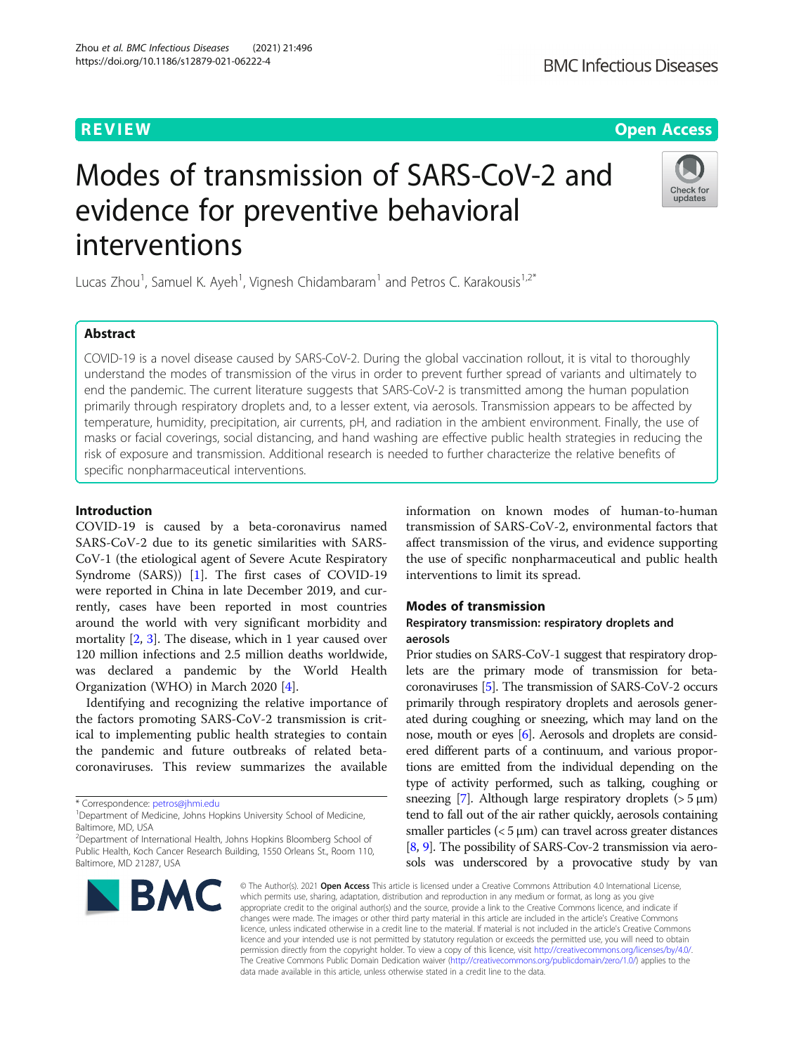# Modes of transmission of SARS-CoV-2 and evidence for preventive behavioral interventions

Lucas Zhou<sup>1</sup>, Samuel K. Ayeh<sup>1</sup>, Vignesh Chidambaram<sup>1</sup> and Petros C. Karakousis<sup>1,2\*</sup>

# Abstract

COVID-19 is a novel disease caused by SARS-CoV-2. During the global vaccination rollout, it is vital to thoroughly understand the modes of transmission of the virus in order to prevent further spread of variants and ultimately to end the pandemic. The current literature suggests that SARS-CoV-2 is transmitted among the human population primarily through respiratory droplets and, to a lesser extent, via aerosols. Transmission appears to be affected by temperature, humidity, precipitation, air currents, pH, and radiation in the ambient environment. Finally, the use of masks or facial coverings, social distancing, and hand washing are effective public health strategies in reducing the risk of exposure and transmission. Additional research is needed to further characterize the relative benefits of specific nonpharmaceutical interventions.

# Introduction

COVID-19 is caused by a beta-coronavirus named SARS-CoV-2 due to its genetic similarities with SARS-CoV-1 (the etiological agent of Severe Acute Respiratory Syndrome (SARS)) [\[1](#page-6-0)]. The first cases of COVID-19 were reported in China in late December 2019, and currently, cases have been reported in most countries around the world with very significant morbidity and mortality [\[2,](#page-6-0) [3](#page-6-0)]. The disease, which in 1 year caused over 120 million infections and 2.5 million deaths worldwide, was declared a pandemic by the World Health Organization (WHO) in March 2020 [[4\]](#page-6-0).

Identifying and recognizing the relative importance of the factors promoting SARS-CoV-2 transmission is critical to implementing public health strategies to contain the pandemic and future outbreaks of related betacoronaviruses. This review summarizes the available

information on known modes of human-to-human transmission of SARS-CoV-2, environmental factors that affect transmission of the virus, and evidence supporting the use of specific nonpharmaceutical and public health interventions to limit its spread.

# Modes of transmission

# Respiratory transmission: respiratory droplets and aerosols

Prior studies on SARS-CoV-1 suggest that respiratory droplets are the primary mode of transmission for betacoronaviruses [\[5\]](#page-6-0). The transmission of SARS-CoV-2 occurs primarily through respiratory droplets and aerosols generated during coughing or sneezing, which may land on the nose, mouth or eyes [[6](#page-6-0)]. Aerosols and droplets are considered different parts of a continuum, and various proportions are emitted from the individual depending on the type of activity performed, such as talking, coughing or sneezing [\[7](#page-6-0)]. Although large respiratory droplets  $(>5 \mu m)$ tend to fall out of the air rather quickly, aerosols containing smaller particles  $(< 5 \mu m$ ) can travel across greater distances [[8](#page-6-0), [9\]](#page-6-0). The possibility of SARS-Cov-2 transmission via aerosols was underscored by a provocative study by van

© The Author(s), 2021 **Open Access** This article is licensed under a Creative Commons Attribution 4.0 International License, which permits use, sharing, adaptation, distribution and reproduction in any medium or format, as long as you give appropriate credit to the original author(s) and the source, provide a link to the Creative Commons licence, and indicate if changes were made. The images or other third party material in this article are included in the article's Creative Commons licence, unless indicated otherwise in a credit line to the material. If material is not included in the article's Creative Commons licence and your intended use is not permitted by statutory regulation or exceeds the permitted use, you will need to obtain permission directly from the copyright holder. To view a copy of this licence, visit [http://creativecommons.org/licenses/by/4.0/.](http://creativecommons.org/licenses/by/4.0/) The Creative Commons Public Domain Dedication waiver [\(http://creativecommons.org/publicdomain/zero/1.0/](http://creativecommons.org/publicdomain/zero/1.0/)) applies to the data made available in this article, unless otherwise stated in a credit line to the data.





# **REVIEW And the Contract of Contract Contract of Contract Contract Contract Contract Contract Contract Contract**



<sup>\*</sup> Correspondence: [petros@jhmi.edu](mailto:petros@jhmi.edu) <sup>1</sup>

<sup>&</sup>lt;sup>1</sup>Department of Medicine, Johns Hopkins University School of Medicine, Baltimore, MD, USA

<sup>&</sup>lt;sup>2</sup>Department of International Health, Johns Hopkins Bloomberg School of Public Health, Koch Cancer Research Building, 1550 Orleans St., Room 110, Baltimore, MD 21287, USA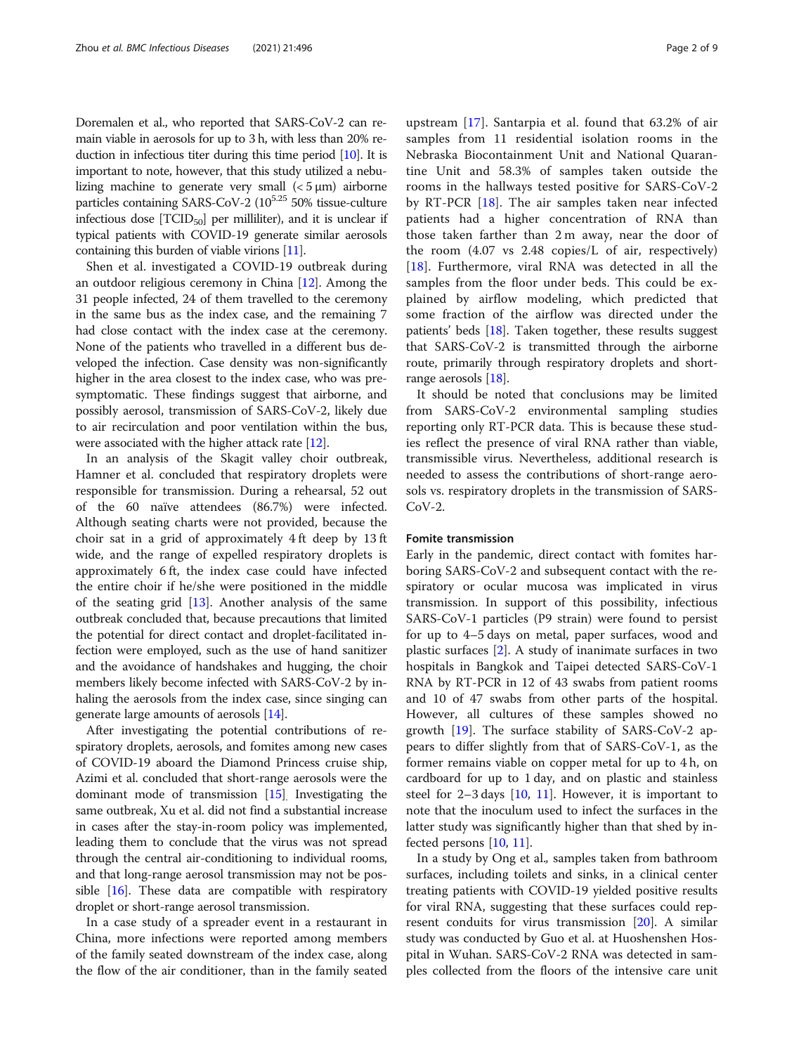Doremalen et al., who reported that SARS-CoV-2 can remain viable in aerosols for up to 3 h, with less than 20% reduction in infectious titer during this time period [\[10](#page-6-0)]. It is important to note, however, that this study utilized a nebulizing machine to generate very small  $(< 5 \mu m)$  airborne particles containing SARS-CoV-2  $(10^{5.25} 50\%$  tissue-culture infectious dose  $[TCID<sub>50</sub>]$  per milliliter), and it is unclear if typical patients with COVID-19 generate similar aerosols containing this burden of viable virions [\[11\]](#page-6-0).

Shen et al. investigated a COVID-19 outbreak during an outdoor religious ceremony in China [\[12](#page-6-0)]. Among the 31 people infected, 24 of them travelled to the ceremony in the same bus as the index case, and the remaining 7 had close contact with the index case at the ceremony. None of the patients who travelled in a different bus developed the infection. Case density was non-significantly higher in the area closest to the index case, who was presymptomatic. These findings suggest that airborne, and possibly aerosol, transmission of SARS-CoV-2, likely due to air recirculation and poor ventilation within the bus, were associated with the higher attack rate [\[12\]](#page-6-0).

In an analysis of the Skagit valley choir outbreak, Hamner et al. concluded that respiratory droplets were responsible for transmission. During a rehearsal, 52 out of the 60 naïve attendees (86.7%) were infected. Although seating charts were not provided, because the choir sat in a grid of approximately 4 ft deep by 13 ft wide, and the range of expelled respiratory droplets is approximately 6 ft, the index case could have infected the entire choir if he/she were positioned in the middle of the seating grid  $[13]$  $[13]$ . Another analysis of the same outbreak concluded that, because precautions that limited the potential for direct contact and droplet-facilitated infection were employed, such as the use of hand sanitizer and the avoidance of handshakes and hugging, the choir members likely become infected with SARS-CoV-2 by inhaling the aerosols from the index case, since singing can generate large amounts of aerosols [[14](#page-7-0)].

After investigating the potential contributions of respiratory droplets, aerosols, and fomites among new cases of COVID-19 aboard the Diamond Princess cruise ship, Azimi et al. concluded that short-range aerosols were the dominant mode of transmission [[15](#page-7-0)]. Investigating the same outbreak, Xu et al. did not find a substantial increase in cases after the stay-in-room policy was implemented, leading them to conclude that the virus was not spread through the central air-conditioning to individual rooms, and that long-range aerosol transmission may not be possible [\[16](#page-7-0)]. These data are compatible with respiratory droplet or short-range aerosol transmission.

In a case study of a spreader event in a restaurant in China, more infections were reported among members of the family seated downstream of the index case, along the flow of the air conditioner, than in the family seated

upstream [[17\]](#page-7-0). Santarpia et al. found that 63.2% of air samples from 11 residential isolation rooms in the Nebraska Biocontainment Unit and National Quarantine Unit and 58.3% of samples taken outside the rooms in the hallways tested positive for SARS-CoV-2 by RT-PCR [[18\]](#page-7-0). The air samples taken near infected patients had a higher concentration of RNA than those taken farther than 2 m away, near the door of the room (4.07 vs 2.48 copies/L of air, respectively) [[18\]](#page-7-0). Furthermore, viral RNA was detected in all the samples from the floor under beds. This could be explained by airflow modeling, which predicted that some fraction of the airflow was directed under the patients' beds [\[18\]](#page-7-0). Taken together, these results suggest that SARS-CoV-2 is transmitted through the airborne route, primarily through respiratory droplets and shortrange aerosols [\[18](#page-7-0)].

It should be noted that conclusions may be limited from SARS-CoV-2 environmental sampling studies reporting only RT-PCR data. This is because these studies reflect the presence of viral RNA rather than viable, transmissible virus. Nevertheless, additional research is needed to assess the contributions of short-range aerosols vs. respiratory droplets in the transmission of SARS- $CoV-2$ .

# Fomite transmission

Early in the pandemic, direct contact with fomites harboring SARS-CoV-2 and subsequent contact with the respiratory or ocular mucosa was implicated in virus transmission. In support of this possibility, infectious SARS-CoV-1 particles (P9 strain) were found to persist for up to 4–5 days on metal, paper surfaces, wood and plastic surfaces [[2\]](#page-6-0). A study of inanimate surfaces in two hospitals in Bangkok and Taipei detected SARS-CoV-1 RNA by RT-PCR in 12 of 43 swabs from patient rooms and 10 of 47 swabs from other parts of the hospital. However, all cultures of these samples showed no growth [[19\]](#page-7-0). The surface stability of SARS-CoV-2 appears to differ slightly from that of SARS-CoV-1, as the former remains viable on copper metal for up to 4 h, on cardboard for up to 1 day, and on plastic and stainless steel for  $2-3$  days  $[10, 11]$  $[10, 11]$  $[10, 11]$  $[10, 11]$ . However, it is important to note that the inoculum used to infect the surfaces in the latter study was significantly higher than that shed by infected persons [[10](#page-6-0), [11](#page-6-0)].

In a study by Ong et al., samples taken from bathroom surfaces, including toilets and sinks, in a clinical center treating patients with COVID-19 yielded positive results for viral RNA, suggesting that these surfaces could represent conduits for virus transmission  $[20]$ . A similar study was conducted by Guo et al. at Huoshenshen Hospital in Wuhan. SARS-CoV-2 RNA was detected in samples collected from the floors of the intensive care unit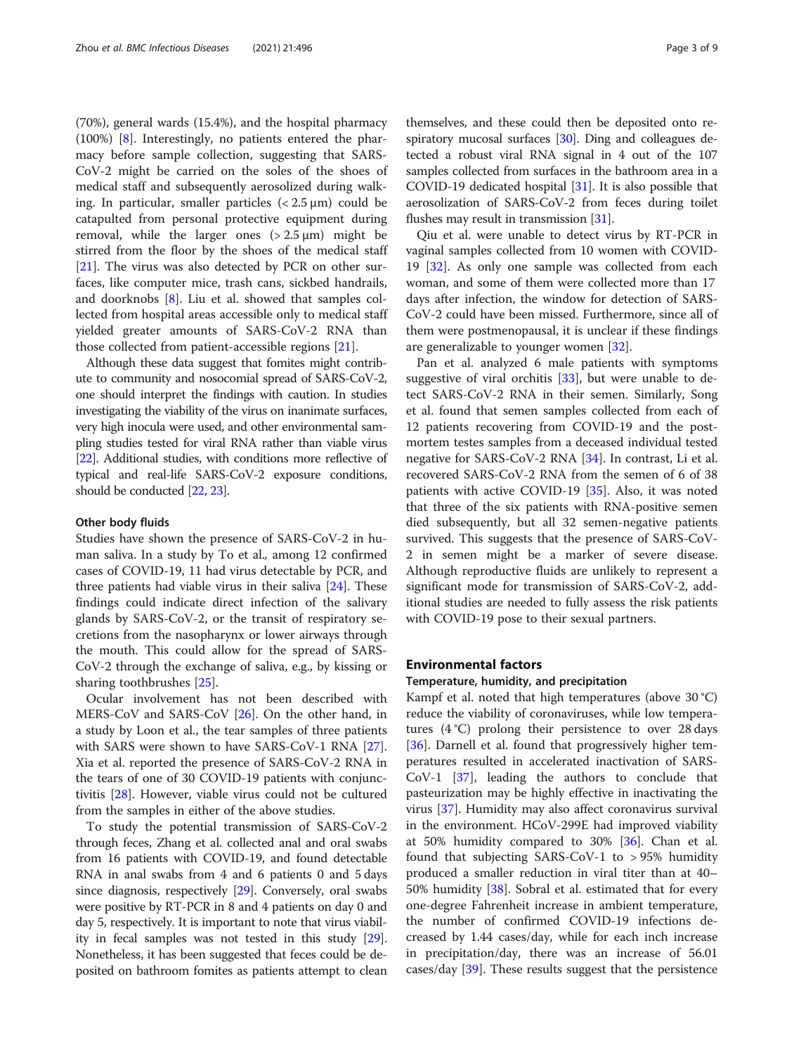(70%), general wards (15.4%), and the hospital pharmacy (100%) [\[8](#page-6-0)]. Interestingly, no patients entered the pharmacy before sample collection, suggesting that SARS-CoV-2 might be carried on the soles of the shoes of medical staff and subsequently aerosolized during walking. In particular, smaller particles  $( $2.5 \mu m$ )$  could be catapulted from personal protective equipment during removal, while the larger ones  $(> 2.5 \,\mu m)$  might be stirred from the floor by the shoes of the medical staff [[21\]](#page-7-0). The virus was also detected by PCR on other surfaces, like computer mice, trash cans, sickbed handrails, and doorknobs [[8\]](#page-6-0). Liu et al. showed that samples collected from hospital areas accessible only to medical staff yielded greater amounts of SARS-CoV-2 RNA than those collected from patient-accessible regions [[21\]](#page-7-0).

Although these data suggest that fomites might contribute to community and nosocomial spread of SARS-CoV-2, one should interpret the findings with caution. In studies investigating the viability of the virus on inanimate surfaces, very high inocula were used, and other environmental sampling studies tested for viral RNA rather than viable virus [[22](#page-7-0)]. Additional studies, with conditions more reflective of typical and real-life SARS-CoV-2 exposure conditions, should be conducted [\[22](#page-7-0), [23](#page-7-0)].

# Other body fluids

Studies have shown the presence of SARS-CoV-2 in human saliva. In a study by To et al., among 12 confirmed cases of COVID-19, 11 had virus detectable by PCR, and three patients had viable virus in their saliva [[24](#page-7-0)]. These findings could indicate direct infection of the salivary glands by SARS-CoV-2, or the transit of respiratory secretions from the nasopharynx or lower airways through the mouth. This could allow for the spread of SARS-CoV-2 through the exchange of saliva, e.g., by kissing or sharing toothbrushes [[25\]](#page-7-0).

Ocular involvement has not been described with MERS-CoV and SARS-CoV [[26\]](#page-7-0). On the other hand, in a study by Loon et al., the tear samples of three patients with SARS were shown to have SARS-CoV-1 RNA [\[27](#page-7-0)]. Xia et al. reported the presence of SARS-CoV-2 RNA in the tears of one of 30 COVID-19 patients with conjunctivitis [\[28\]](#page-7-0). However, viable virus could not be cultured from the samples in either of the above studies.

To study the potential transmission of SARS-CoV-2 through feces, Zhang et al. collected anal and oral swabs from 16 patients with COVID-19, and found detectable RNA in anal swabs from 4 and 6 patients 0 and 5 days since diagnosis, respectively [[29\]](#page-7-0). Conversely, oral swabs were positive by RT-PCR in 8 and 4 patients on day 0 and day 5, respectively. It is important to note that virus viability in fecal samples was not tested in this study [[29](#page-7-0)]. Nonetheless, it has been suggested that feces could be deposited on bathroom fomites as patients attempt to clean

themselves, and these could then be deposited onto re-spiratory mucosal surfaces [\[30\]](#page-7-0). Ding and colleagues detected a robust viral RNA signal in 4 out of the 107 samples collected from surfaces in the bathroom area in a COVID-19 dedicated hospital [[31](#page-7-0)]. It is also possible that aerosolization of SARS-CoV-2 from feces during toilet flushes may result in transmission [\[31\]](#page-7-0).

Qiu et al. were unable to detect virus by RT-PCR in vaginal samples collected from 10 women with COVID-19 [[32](#page-7-0)]. As only one sample was collected from each woman, and some of them were collected more than 17 days after infection, the window for detection of SARS-CoV-2 could have been missed. Furthermore, since all of them were postmenopausal, it is unclear if these findings are generalizable to younger women [\[32](#page-7-0)].

Pan et al. analyzed 6 male patients with symptoms suggestive of viral orchitis  $[33]$  $[33]$  $[33]$ , but were unable to detect SARS-CoV-2 RNA in their semen. Similarly, Song et al. found that semen samples collected from each of 12 patients recovering from COVID-19 and the postmortem testes samples from a deceased individual tested negative for SARS-CoV-2 RNA [\[34](#page-7-0)]. In contrast, Li et al. recovered SARS-CoV-2 RNA from the semen of 6 of 38 patients with active COVID-19  $[35]$  $[35]$ . Also, it was noted that three of the six patients with RNA-positive semen died subsequently, but all 32 semen-negative patients survived. This suggests that the presence of SARS-CoV-2 in semen might be a marker of severe disease. Although reproductive fluids are unlikely to represent a significant mode for transmission of SARS-CoV-2, additional studies are needed to fully assess the risk patients with COVID-19 pose to their sexual partners.

# Environmental factors

# Temperature, humidity, and precipitation

Kampf et al. noted that high temperatures (above 30 °C) reduce the viability of coronaviruses, while low temperatures (4 °C) prolong their persistence to over 28 days [[36\]](#page-7-0). Darnell et al. found that progressively higher temperatures resulted in accelerated inactivation of SARS-CoV-1 [[37\]](#page-7-0), leading the authors to conclude that pasteurization may be highly effective in inactivating the virus [[37\]](#page-7-0). Humidity may also affect coronavirus survival in the environment. HCoV-299E had improved viability at 50% humidity compared to 30% [\[36\]](#page-7-0). Chan et al. found that subjecting SARS-CoV-1 to > 95% humidity produced a smaller reduction in viral titer than at 40– 50% humidity [\[38](#page-7-0)]. Sobral et al. estimated that for every one-degree Fahrenheit increase in ambient temperature, the number of confirmed COVID-19 infections decreased by 1.44 cases/day, while for each inch increase in precipitation/day, there was an increase of 56.01 cases/day [\[39](#page-7-0)]. These results suggest that the persistence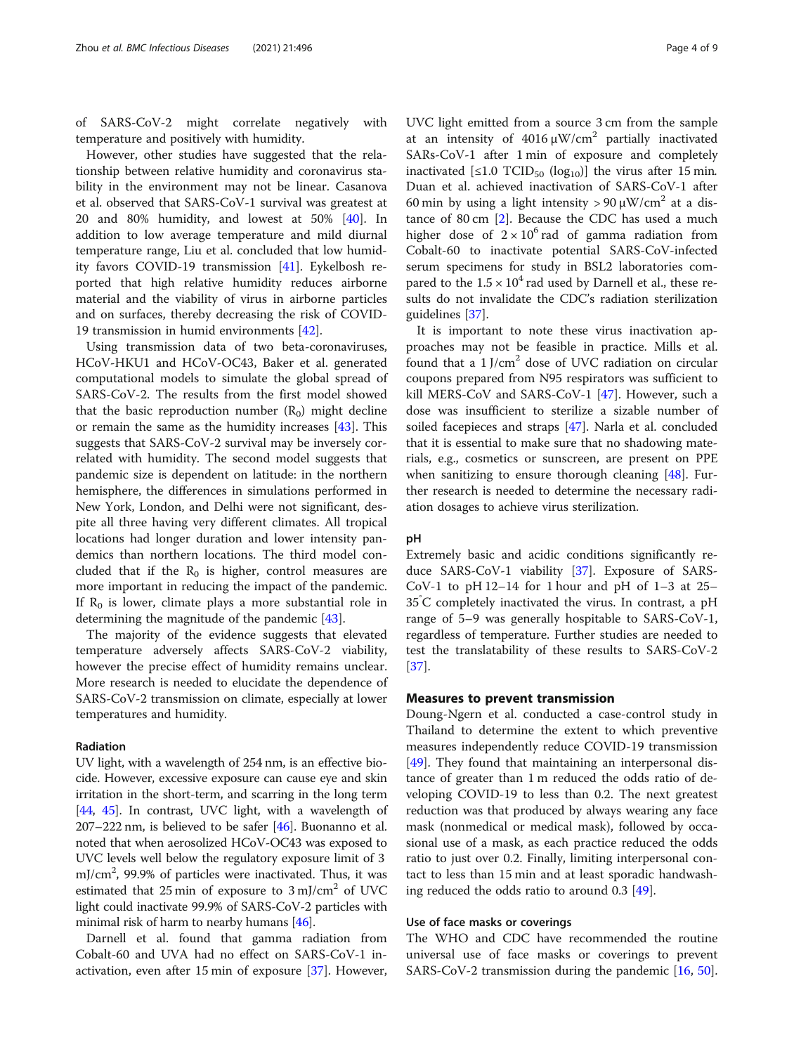of SARS-CoV-2 might correlate negatively with temperature and positively with humidity.

However, other studies have suggested that the relationship between relative humidity and coronavirus stability in the environment may not be linear. Casanova et al. observed that SARS-CoV-1 survival was greatest at 20 and 80% humidity, and lowest at 50% [[40\]](#page-7-0). In addition to low average temperature and mild diurnal temperature range, Liu et al. concluded that low humidity favors COVID-19 transmission [\[41\]](#page-7-0). Eykelbosh reported that high relative humidity reduces airborne material and the viability of virus in airborne particles and on surfaces, thereby decreasing the risk of COVID-19 transmission in humid environments [[42\]](#page-7-0).

Using transmission data of two beta-coronaviruses, HCoV-HKU1 and HCoV-OC43, Baker et al. generated computational models to simulate the global spread of SARS-CoV-2. The results from the first model showed that the basic reproduction number  $(R_0)$  might decline or remain the same as the humidity increases [[43\]](#page-7-0). This suggests that SARS-CoV-2 survival may be inversely correlated with humidity. The second model suggests that pandemic size is dependent on latitude: in the northern hemisphere, the differences in simulations performed in New York, London, and Delhi were not significant, despite all three having very different climates. All tropical locations had longer duration and lower intensity pandemics than northern locations. The third model concluded that if the  $R_0$  is higher, control measures are more important in reducing the impact of the pandemic. If  $R_0$  is lower, climate plays a more substantial role in determining the magnitude of the pandemic [\[43\]](#page-7-0).

The majority of the evidence suggests that elevated temperature adversely affects SARS-CoV-2 viability, however the precise effect of humidity remains unclear. More research is needed to elucidate the dependence of SARS-CoV-2 transmission on climate, especially at lower temperatures and humidity.

# Radiation

UV light, with a wavelength of 254 nm, is an effective biocide. However, excessive exposure can cause eye and skin irritation in the short-term, and scarring in the long term [[44](#page-7-0), [45](#page-7-0)]. In contrast, UVC light, with a wavelength of 207–222 nm, is believed to be safer [[46](#page-7-0)]. Buonanno et al. noted that when aerosolized HCoV-OC43 was exposed to UVC levels well below the regulatory exposure limit of 3 mJ/cm<sup>2</sup>, 99.9% of particles were inactivated. Thus, it was estimated that 25 min of exposure to  $3 \text{ mJ/cm}^2$  of UVC light could inactivate 99.9% of SARS-CoV-2 particles with minimal risk of harm to nearby humans [[46\]](#page-7-0).

Darnell et al. found that gamma radiation from Cobalt-60 and UVA had no effect on SARS-CoV-1 inactivation, even after 15 min of exposure [\[37\]](#page-7-0). However, UVC light emitted from a source 3 cm from the sample at an intensity of  $4016 \mu W/cm^2$  partially inactivated SARs-CoV-1 after 1 min of exposure and completely inactivated  $\left[\leq1.0$  TCID<sub>50</sub> (log<sub>10</sub>)] the virus after 15 min. Duan et al. achieved inactivation of SARS-CoV-1 after 60 min by using a light intensity >  $90 \mu W/cm^2$  at a distance of 80 cm [\[2](#page-6-0)]. Because the CDC has used a much higher dose of  $2 \times 10^6$  rad of gamma radiation from Cobalt-60 to inactivate potential SARS-CoV-infected serum specimens for study in BSL2 laboratories compared to the  $1.5 \times 10^4$  rad used by Darnell et al., these results do not invalidate the CDC's radiation sterilization guidelines [[37\]](#page-7-0).

It is important to note these virus inactivation approaches may not be feasible in practice. Mills et al. found that a  $1$  J/cm<sup>2</sup> dose of UVC radiation on circular coupons prepared from N95 respirators was sufficient to kill MERS-CoV and SARS-CoV-1 [[47\]](#page-7-0). However, such a dose was insufficient to sterilize a sizable number of soiled facepieces and straps [[47\]](#page-7-0). Narla et al. concluded that it is essential to make sure that no shadowing materials, e.g., cosmetics or sunscreen, are present on PPE when sanitizing to ensure thorough cleaning [\[48](#page-7-0)]. Further research is needed to determine the necessary radiation dosages to achieve virus sterilization.

# pH

Extremely basic and acidic conditions significantly reduce SARS-CoV-1 viability [[37\]](#page-7-0). Exposure of SARS-CoV-1 to pH  $12-14$  for 1 hour and pH of  $1-3$  at  $25-$ 35° C completely inactivated the virus. In contrast, a pH range of 5–9 was generally hospitable to SARS-CoV-1, regardless of temperature. Further studies are needed to test the translatability of these results to SARS-CoV-2 [[37\]](#page-7-0).

# Measures to prevent transmission

Doung-Ngern et al. conducted a case-control study in Thailand to determine the extent to which preventive measures independently reduce COVID-19 transmission [[49\]](#page-7-0). They found that maintaining an interpersonal distance of greater than 1 m reduced the odds ratio of developing COVID-19 to less than 0.2. The next greatest reduction was that produced by always wearing any face mask (nonmedical or medical mask), followed by occasional use of a mask, as each practice reduced the odds ratio to just over 0.2. Finally, limiting interpersonal contact to less than 15 min and at least sporadic handwashing reduced the odds ratio to around 0.3 [\[49](#page-7-0)].

# Use of face masks or coverings

The WHO and CDC have recommended the routine universal use of face masks or coverings to prevent SARS-CoV-2 transmission during the pandemic [\[16](#page-7-0), [50](#page-7-0)].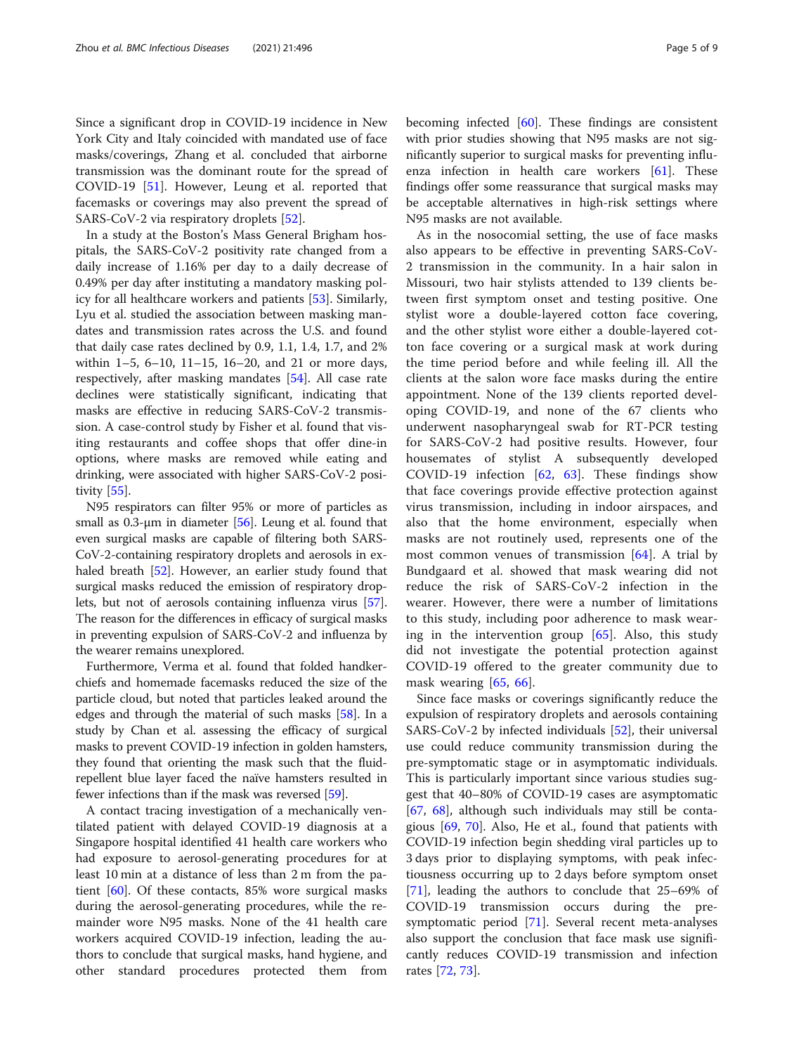Since a significant drop in COVID-19 incidence in New York City and Italy coincided with mandated use of face masks/coverings, Zhang et al. concluded that airborne transmission was the dominant route for the spread of COVID-19 [\[51](#page-7-0)]. However, Leung et al. reported that facemasks or coverings may also prevent the spread of SARS-CoV-2 via respiratory droplets [[52\]](#page-7-0).

In a study at the Boston's Mass General Brigham hospitals, the SARS-CoV-2 positivity rate changed from a daily increase of 1.16% per day to a daily decrease of 0.49% per day after instituting a mandatory masking policy for all healthcare workers and patients [\[53](#page-7-0)]. Similarly, Lyu et al. studied the association between masking mandates and transmission rates across the U.S. and found that daily case rates declined by 0.9, 1.1, 1.4, 1.7, and 2% within 1–5, 6–10, 11–15, 16–20, and 21 or more days, respectively, after masking mandates [[54\]](#page-7-0). All case rate declines were statistically significant, indicating that masks are effective in reducing SARS-CoV-2 transmission. A case-control study by Fisher et al. found that visiting restaurants and coffee shops that offer dine-in options, where masks are removed while eating and drinking, were associated with higher SARS-CoV-2 positivity [\[55\]](#page-7-0).

N95 respirators can filter 95% or more of particles as small as  $0.3$ -µm in diameter [[56\]](#page-8-0). Leung et al. found that even surgical masks are capable of filtering both SARS-CoV-2-containing respiratory droplets and aerosols in exhaled breath [[52](#page-7-0)]. However, an earlier study found that surgical masks reduced the emission of respiratory droplets, but not of aerosols containing influenza virus [[57](#page-8-0)]. The reason for the differences in efficacy of surgical masks in preventing expulsion of SARS-CoV-2 and influenza by the wearer remains unexplored.

Furthermore, Verma et al. found that folded handkerchiefs and homemade facemasks reduced the size of the particle cloud, but noted that particles leaked around the edges and through the material of such masks [\[58\]](#page-8-0). In a study by Chan et al. assessing the efficacy of surgical masks to prevent COVID-19 infection in golden hamsters, they found that orienting the mask such that the fluidrepellent blue layer faced the naïve hamsters resulted in fewer infections than if the mask was reversed [\[59\]](#page-8-0).

A contact tracing investigation of a mechanically ventilated patient with delayed COVID-19 diagnosis at a Singapore hospital identified 41 health care workers who had exposure to aerosol-generating procedures for at least 10 min at a distance of less than 2 m from the patient  $[60]$ . Of these contacts, 85% wore surgical masks during the aerosol-generating procedures, while the remainder wore N95 masks. None of the 41 health care workers acquired COVID-19 infection, leading the authors to conclude that surgical masks, hand hygiene, and other standard procedures protected them from

becoming infected  $[60]$ . These findings are consistent with prior studies showing that N95 masks are not significantly superior to surgical masks for preventing influenza infection in health care workers [\[61](#page-8-0)]. These findings offer some reassurance that surgical masks may be acceptable alternatives in high-risk settings where N95 masks are not available.

As in the nosocomial setting, the use of face masks also appears to be effective in preventing SARS-CoV-2 transmission in the community. In a hair salon in Missouri, two hair stylists attended to 139 clients between first symptom onset and testing positive. One stylist wore a double-layered cotton face covering, and the other stylist wore either a double-layered cotton face covering or a surgical mask at work during the time period before and while feeling ill. All the clients at the salon wore face masks during the entire appointment. None of the 139 clients reported developing COVID-19, and none of the 67 clients who underwent nasopharyngeal swab for RT-PCR testing for SARS-CoV-2 had positive results. However, four housemates of stylist A subsequently developed COVID-19 infection [[62,](#page-8-0) [63](#page-8-0)]. These findings show that face coverings provide effective protection against virus transmission, including in indoor airspaces, and also that the home environment, especially when masks are not routinely used, represents one of the most common venues of transmission [[64\]](#page-8-0). A trial by Bundgaard et al. showed that mask wearing did not reduce the risk of SARS-CoV-2 infection in the wearer. However, there were a number of limitations to this study, including poor adherence to mask wearing in the intervention group  $[65]$  $[65]$  $[65]$ . Also, this study did not investigate the potential protection against COVID-19 offered to the greater community due to mask wearing [[65](#page-8-0), [66](#page-8-0)].

Since face masks or coverings significantly reduce the expulsion of respiratory droplets and aerosols containing SARS-CoV-2 by infected individuals [[52\]](#page-7-0), their universal use could reduce community transmission during the pre-symptomatic stage or in asymptomatic individuals. This is particularly important since various studies suggest that 40–80% of COVID-19 cases are asymptomatic [[67,](#page-8-0) [68](#page-8-0)], although such individuals may still be contagious [\[69](#page-8-0), [70](#page-8-0)]. Also, He et al., found that patients with COVID-19 infection begin shedding viral particles up to 3 days prior to displaying symptoms, with peak infectiousness occurring up to 2 days before symptom onset [[71\]](#page-8-0), leading the authors to conclude that 25–69% of COVID-19 transmission occurs during the presymptomatic period [[71\]](#page-8-0). Several recent meta-analyses also support the conclusion that face mask use significantly reduces COVID-19 transmission and infection rates [\[72](#page-8-0), [73](#page-8-0)].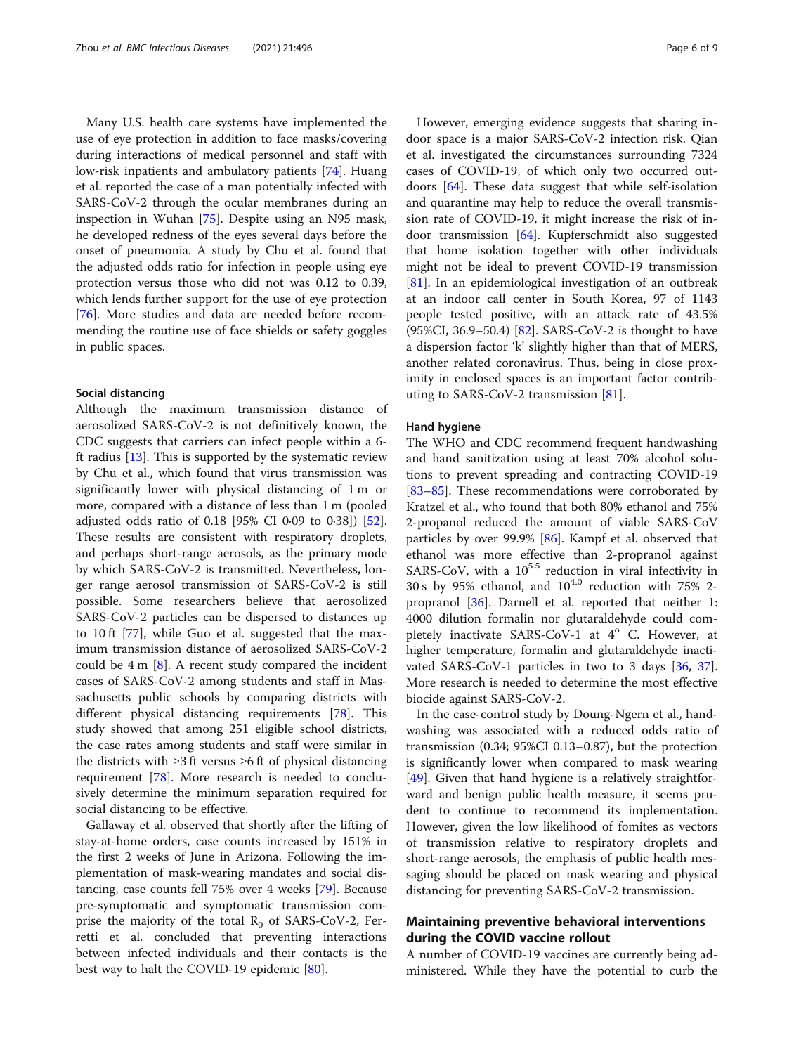Many U.S. health care systems have implemented the use of eye protection in addition to face masks/covering during interactions of medical personnel and staff with low-risk inpatients and ambulatory patients [\[74](#page-8-0)]. Huang et al. reported the case of a man potentially infected with SARS-CoV-2 through the ocular membranes during an inspection in Wuhan [\[75](#page-8-0)]. Despite using an N95 mask, he developed redness of the eyes several days before the onset of pneumonia. A study by Chu et al. found that the adjusted odds ratio for infection in people using eye protection versus those who did not was 0.12 to 0.39, which lends further support for the use of eye protection [[76\]](#page-8-0). More studies and data are needed before recommending the routine use of face shields or safety goggles in public spaces.

# Social distancing

Although the maximum transmission distance of aerosolized SARS-CoV-2 is not definitively known, the CDC suggests that carriers can infect people within a 6 ft radius [\[13\]](#page-7-0). This is supported by the systematic review by Chu et al., which found that virus transmission was significantly lower with physical distancing of 1 m or more, compared with a distance of less than 1 m (pooled adjusted odds ratio of 0.18 [95% CI 0·09 to 0·38]) [\[52](#page-7-0)]. These results are consistent with respiratory droplets, and perhaps short-range aerosols, as the primary mode by which SARS-CoV-2 is transmitted. Nevertheless, longer range aerosol transmission of SARS-CoV-2 is still possible. Some researchers believe that aerosolized SARS-CoV-2 particles can be dispersed to distances up to 10 ft [[77\]](#page-8-0), while Guo et al. suggested that the maximum transmission distance of aerosolized SARS-CoV-2 could be  $4 \text{ m } [8]$  $4 \text{ m } [8]$ . A recent study compared the incident cases of SARS-CoV-2 among students and staff in Massachusetts public schools by comparing districts with different physical distancing requirements [\[78](#page-8-0)]. This study showed that among 251 eligible school districts, the case rates among students and staff were similar in the districts with  $\geq 3$  ft versus  $\geq 6$  ft of physical distancing requirement [\[78](#page-8-0)]. More research is needed to conclusively determine the minimum separation required for social distancing to be effective.

Gallaway et al. observed that shortly after the lifting of stay-at-home orders, case counts increased by 151% in the first 2 weeks of June in Arizona. Following the implementation of mask-wearing mandates and social distancing, case counts fell 75% over 4 weeks [\[79](#page-8-0)]. Because pre-symptomatic and symptomatic transmission comprise the majority of the total  $R_0$  of SARS-CoV-2, Ferretti et al. concluded that preventing interactions between infected individuals and their contacts is the best way to halt the COVID-19 epidemic [[80\]](#page-8-0).

However, emerging evidence suggests that sharing indoor space is a major SARS-CoV-2 infection risk. Qian et al. investigated the circumstances surrounding 7324 cases of COVID-19, of which only two occurred outdoors [\[64](#page-8-0)]. These data suggest that while self-isolation and quarantine may help to reduce the overall transmission rate of COVID-19, it might increase the risk of indoor transmission [\[64](#page-8-0)]. Kupferschmidt also suggested that home isolation together with other individuals might not be ideal to prevent COVID-19 transmission [[81\]](#page-8-0). In an epidemiological investigation of an outbreak at an indoor call center in South Korea, 97 of 1143 people tested positive, with an attack rate of 43.5% (95%CI, 36.9–50.4)  $[82]$  $[82]$ . SARS-CoV-2 is thought to have a dispersion factor 'k' slightly higher than that of MERS, another related coronavirus. Thus, being in close proximity in enclosed spaces is an important factor contributing to SARS-CoV-2 transmission [[81](#page-8-0)].

# Hand hygiene

The WHO and CDC recommend frequent handwashing and hand sanitization using at least 70% alcohol solutions to prevent spreading and contracting COVID-19 [[83](#page-8-0)–[85](#page-8-0)]. These recommendations were corroborated by Kratzel et al., who found that both 80% ethanol and 75% 2-propanol reduced the amount of viable SARS-CoV particles by over 99.9% [\[86](#page-8-0)]. Kampf et al. observed that ethanol was more effective than 2-propranol against SARS-CoV, with a  $10^{5.5}$  reduction in viral infectivity in 30 s by 95% ethanol, and  $10^{4.0}$  reduction with 75% 2propranol [\[36](#page-7-0)]. Darnell et al. reported that neither 1: 4000 dilution formalin nor glutaraldehyde could completely inactivate SARS-CoV-1 at  $4^{\circ}$  C. However, at higher temperature, formalin and glutaraldehyde inactivated SARS-CoV-1 particles in two to 3 days [[36,](#page-7-0) [37](#page-7-0)]. More research is needed to determine the most effective biocide against SARS-CoV-2.

In the case-control study by Doung-Ngern et al., handwashing was associated with a reduced odds ratio of transmission (0.34; 95%CI 0.13–0.87), but the protection is significantly lower when compared to mask wearing [[49\]](#page-7-0). Given that hand hygiene is a relatively straightforward and benign public health measure, it seems prudent to continue to recommend its implementation. However, given the low likelihood of fomites as vectors of transmission relative to respiratory droplets and short-range aerosols, the emphasis of public health messaging should be placed on mask wearing and physical distancing for preventing SARS-CoV-2 transmission.

# Maintaining preventive behavioral interventions during the COVID vaccine rollout

A number of COVID-19 vaccines are currently being administered. While they have the potential to curb the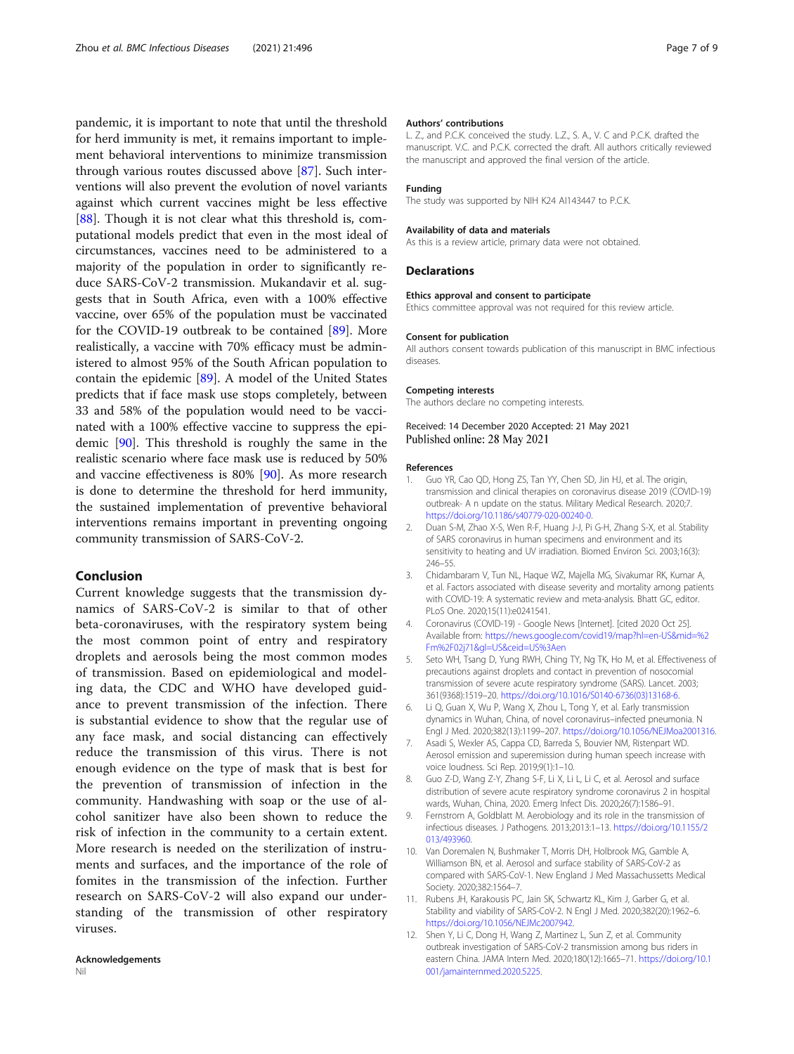<span id="page-6-0"></span>pandemic, it is important to note that until the threshold for herd immunity is met, it remains important to implement behavioral interventions to minimize transmission through various routes discussed above [[87\]](#page-8-0). Such interventions will also prevent the evolution of novel variants against which current vaccines might be less effective [[88\]](#page-8-0). Though it is not clear what this threshold is, computational models predict that even in the most ideal of circumstances, vaccines need to be administered to a majority of the population in order to significantly reduce SARS-CoV-2 transmission. Mukandavir et al. suggests that in South Africa, even with a 100% effective vaccine, over 65% of the population must be vaccinated for the COVID-19 outbreak to be contained [\[89](#page-8-0)]. More realistically, a vaccine with 70% efficacy must be administered to almost 95% of the South African population to contain the epidemic [\[89\]](#page-8-0). A model of the United States predicts that if face mask use stops completely, between 33 and 58% of the population would need to be vaccinated with a 100% effective vaccine to suppress the epidemic [\[90](#page-8-0)]. This threshold is roughly the same in the realistic scenario where face mask use is reduced by 50% and vaccine effectiveness is 80% [[90\]](#page-8-0). As more research is done to determine the threshold for herd immunity, the sustained implementation of preventive behavioral interventions remains important in preventing ongoing community transmission of SARS-CoV-2.

# Conclusion

Current knowledge suggests that the transmission dynamics of SARS-CoV-2 is similar to that of other beta-coronaviruses, with the respiratory system being the most common point of entry and respiratory droplets and aerosols being the most common modes of transmission. Based on epidemiological and modeling data, the CDC and WHO have developed guidance to prevent transmission of the infection. There is substantial evidence to show that the regular use of any face mask, and social distancing can effectively reduce the transmission of this virus. There is not enough evidence on the type of mask that is best for the prevention of transmission of infection in the community. Handwashing with soap or the use of alcohol sanitizer have also been shown to reduce the risk of infection in the community to a certain extent. More research is needed on the sterilization of instruments and surfaces, and the importance of the role of fomites in the transmission of the infection. Further research on SARS-CoV-2 will also expand our understanding of the transmission of other respiratory viruses.

## Authors' contributions

L. Z., and P.C.K. conceived the study. L.Z., S. A., V. C and P.C.K. drafted the manuscript. V.C. and P.C.K. corrected the draft. All authors critically reviewed the manuscript and approved the final version of the article.

#### Funding

The study was supported by NIH K24 AI143447 to P.C.K.

#### Availability of data and materials

As this is a review article, primary data were not obtained.

### Declarations

### Ethics approval and consent to participate

Ethics committee approval was not required for this review article.

#### Consent for publication

All authors consent towards publication of this manuscript in BMC infectious diseases.

# Competing interests

The authors declare no competing interests.

# Received: 14 December 2020 Accepted: 21 May 2021 Published online: 28 May 2021

#### References

- 1. Guo YR, Cao QD, Hong ZS, Tan YY, Chen SD, Jin HJ, et al. The origin, transmission and clinical therapies on coronavirus disease 2019 (COVID-19) outbreak- A n update on the status. Military Medical Research. 2020;7. [https://doi.org/10.1186/s40779-020-00240-0.](https://doi.org/10.1186/s40779-020-00240-0)
- 2. Duan S-M, Zhao X-S, Wen R-F, Huang J-J, Pi G-H, Zhang S-X, et al. Stability of SARS coronavirus in human specimens and environment and its sensitivity to heating and UV irradiation. Biomed Environ Sci. 2003;16(3): 246–55.
- 3. Chidambaram V, Tun NL, Haque WZ, Majella MG, Sivakumar RK, Kumar A, et al. Factors associated with disease severity and mortality among patients with COVID-19: A systematic review and meta-analysis. Bhatt GC, editor. PLoS One. 2020;15(11):e0241541.
- 4. Coronavirus (COVID-19) Google News [Internet]. [cited 2020 Oct 25]. Available from: [https://news.google.com/covid19/map?hl=en-US&mid=%2](https://news.google.com/covid19/map?hl=en-US&mid=%2Fm%2F02j71&gl=US&ceid=US%3Aen) [Fm%2F02j71&gl=US&ceid=US%3Aen](https://news.google.com/covid19/map?hl=en-US&mid=%2Fm%2F02j71&gl=US&ceid=US%3Aen)
- 5. Seto WH, Tsang D, Yung RWH, Ching TY, Ng TK, Ho M, et al. Effectiveness of precautions against droplets and contact in prevention of nosocomial transmission of severe acute respiratory syndrome (SARS). Lancet. 2003; 361(9368):1519–20. [https://doi.org/10.1016/S0140-6736\(03\)13168-6.](https://doi.org/10.1016/S0140-6736(03)13168-6)
- 6. Li Q, Guan X, Wu P, Wang X, Zhou L, Tong Y, et al. Early transmission dynamics in Wuhan, China, of novel coronavirus–infected pneumonia. N Engl J Med. 2020;382(13):1199–207. <https://doi.org/10.1056/NEJMoa2001316>.
- 7. Asadi S, Wexler AS, Cappa CD, Barreda S, Bouvier NM, Ristenpart WD. Aerosol emission and superemission during human speech increase with voice loudness. Sci Rep. 2019;9(1):1–10.
- Guo Z-D, Wang Z-Y, Zhang S-F, Li X, Li L, Li C, et al. Aerosol and surface distribution of severe acute respiratory syndrome coronavirus 2 in hospital wards, Wuhan, China, 2020. Emerg Infect Dis. 2020;26(7):1586–91.
- 9. Fernstrom A, Goldblatt M. Aerobiology and its role in the transmission of infectious diseases. J Pathogens. 2013;2013:1–13. [https://doi.org/10.1155/2](https://doi.org/10.1155/2013/493960) [013/493960.](https://doi.org/10.1155/2013/493960)
- 10. Van Doremalen N, Bushmaker T, Morris DH, Holbrook MG, Gamble A, Williamson BN, et al. Aerosol and surface stability of SARS-CoV-2 as compared with SARS-CoV-1. New England J Med Massachussetts Medical Society. 2020;382:1564–7.
- 11. Rubens JH, Karakousis PC, Jain SK, Schwartz KL, Kim J, Garber G, et al. Stability and viability of SARS-CoV-2. N Engl J Med. 2020;382(20):1962–6. [https://doi.org/10.1056/NEJMc2007942.](https://doi.org/10.1056/NEJMc2007942)
- 12. Shen Y, Li C, Dong H, Wang Z, Martinez L, Sun Z, et al. Community outbreak investigation of SARS-CoV-2 transmission among bus riders in eastern China. JAMA Intern Med. 2020;180(12):1665–71. [https://doi.org/10.1](https://doi.org/10.1001/jamainternmed.2020.5225) [001/jamainternmed.2020.5225](https://doi.org/10.1001/jamainternmed.2020.5225).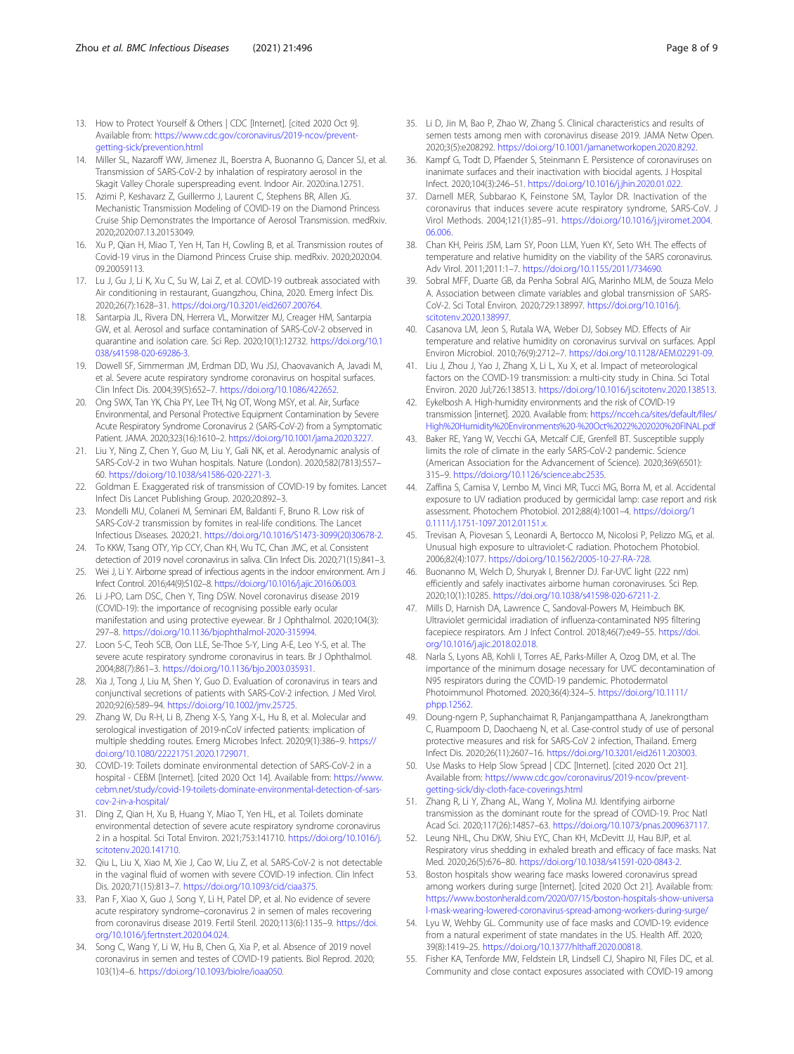- <span id="page-7-0"></span>13. How to Protect Yourself & Others | CDC [Internet]. [cited 2020 Oct 9]. Available from: [https://www.cdc.gov/coronavirus/2019-ncov/prevent](https://www.cdc.gov/coronavirus/2019-ncov/prevent-getting-sick/prevention.html)[getting-sick/prevention.html](https://www.cdc.gov/coronavirus/2019-ncov/prevent-getting-sick/prevention.html)
- 14. Miller SL, Nazaroff WW, Jimenez JL, Boerstra A, Buonanno G, Dancer SJ, et al. Transmission of SARS-CoV-2 by inhalation of respiratory aerosol in the Skagit Valley Chorale superspreading event. Indoor Air. 2020:ina.12751.
- 15. Azimi P, Keshavarz Z, Guillermo J, Laurent C, Stephens BR, Allen JG. Mechanistic Transmission Modeling of COVID-19 on the Diamond Princess Cruise Ship Demonstrates the Importance of Aerosol Transmission. medRxiv. 2020;2020:07.13.20153049.
- 16. Xu P, Qian H, Miao T, Yen H, Tan H, Cowling B, et al. Transmission routes of Covid-19 virus in the Diamond Princess Cruise ship. medRxiv. 2020;2020:04. 09.20059113.
- 17. Lu J, Gu J, Li K, Xu C, Su W, Lai Z, et al. COVID-19 outbreak associated with Air conditioning in restaurant, Guangzhou, China, 2020. Emerg Infect Dis. 2020;26(7):1628–31. <https://doi.org/10.3201/eid2607.200764>.
- 18. Santarpia JL, Rivera DN, Herrera VL, Morwitzer MJ, Creager HM, Santarpia GW, et al. Aerosol and surface contamination of SARS-CoV-2 observed in quarantine and isolation care. Sci Rep. 2020;10(1):12732. [https://doi.org/10.1](https://doi.org/10.1038/s41598-020-69286-3) [038/s41598-020-69286-3.](https://doi.org/10.1038/s41598-020-69286-3)
- 19. Dowell SF, Simmerman JM, Erdman DD, Wu JSJ, Chaovavanich A, Javadi M, et al. Severe acute respiratory syndrome coronavirus on hospital surfaces. Clin Infect Dis. 2004;39(5):652–7. [https://doi.org/10.1086/422652.](https://doi.org/10.1086/422652)
- 20. Ong SWX, Tan YK, Chia PY, Lee TH, Ng OT, Wong MSY, et al. Air, Surface Environmental, and Personal Protective Equipment Contamination by Severe Acute Respiratory Syndrome Coronavirus 2 (SARS-CoV-2) from a Symptomatic Patient. JAMA. 2020;323(16):1610–2. [https://doi.org/10.1001/jama.2020.3227.](https://doi.org/10.1001/jama.2020.3227)
- 21. Liu Y, Ning Z, Chen Y, Guo M, Liu Y, Gali NK, et al. Aerodynamic analysis of SARS-CoV-2 in two Wuhan hospitals. Nature (London). 2020;582(7813):557– 60. <https://doi.org/10.1038/s41586-020-2271-3>.
- 22. Goldman E. Exaggerated risk of transmission of COVID-19 by fomites. Lancet Infect Dis Lancet Publishing Group. 2020;20:892–3.
- 23. Mondelli MU, Colaneri M, Seminari EM, Baldanti F, Bruno R. Low risk of SARS-CoV-2 transmission by fomites in real-life conditions. The Lancet Infectious Diseases. 2020;21. [https://doi.org/10.1016/S1473-3099\(20\)30678-2](https://doi.org/10.1016/S1473-3099(20)30678-2).
- 24. To KKW, Tsang OTY, Yip CCY, Chan KH, Wu TC, Chan JMC, et al. Consistent detection of 2019 novel coronavirus in saliva. Clin Infect Dis. 2020;71(15):841–3.
- 25. Wei J, Li Y. Airborne spread of infectious agents in the indoor environment. Am J Infect Control. 2016;44(9):S102–8. [https://doi.org/10.1016/j.ajic.2016.06.003.](https://doi.org/10.1016/j.ajic.2016.06.003)
- 26. Li J-PO, Lam DSC, Chen Y, Ting DSW. Novel coronavirus disease 2019 (COVID-19): the importance of recognising possible early ocular manifestation and using protective eyewear. Br J Ophthalmol. 2020;104(3): 297–8. <https://doi.org/10.1136/bjophthalmol-2020-315994>.
- 27. Loon S-C, Teoh SCB, Oon LLE, Se-Thoe S-Y, Ling A-E, Leo Y-S, et al. The severe acute respiratory syndrome coronavirus in tears. Br J Ophthalmol. 2004;88(7):861–3. <https://doi.org/10.1136/bjo.2003.035931>.
- 28. Xia J, Tong J, Liu M, Shen Y, Guo D. Evaluation of coronavirus in tears and conjunctival secretions of patients with SARS-CoV-2 infection. J Med Virol. 2020;92(6):589–94. [https://doi.org/10.1002/jmv.25725.](https://doi.org/10.1002/jmv.25725)
- 29. Zhang W, Du R-H, Li B, Zheng X-S, Yang X-L, Hu B, et al. Molecular and serological investigation of 2019-nCoV infected patients: implication of multiple shedding routes. Emerg Microbes Infect. 2020;9(1):386–9. [https://](https://doi.org/10.1080/22221751.2020.1729071) [doi.org/10.1080/22221751.2020.1729071](https://doi.org/10.1080/22221751.2020.1729071).
- 30. COVID-19: Toilets dominate environmental detection of SARS-CoV-2 in a hospital - CEBM [Internet]. [cited 2020 Oct 14]. Available from: [https://www.](https://www.cebm.net/study/covid-19-toilets-dominate-environmental-detection-of-sars-cov-2-in-a-hospital/) [cebm.net/study/covid-19-toilets-dominate-environmental-detection-of-sars](https://www.cebm.net/study/covid-19-toilets-dominate-environmental-detection-of-sars-cov-2-in-a-hospital/)[cov-2-in-a-hospital/](https://www.cebm.net/study/covid-19-toilets-dominate-environmental-detection-of-sars-cov-2-in-a-hospital/)
- 31. Ding Z, Qian H, Xu B, Huang Y, Miao T, Yen HL, et al. Toilets dominate environmental detection of severe acute respiratory syndrome coronavirus 2 in a hospital. Sci Total Environ. 2021;753:141710. [https://doi.org/10.1016/j.](https://doi.org/10.1016/j.scitotenv.2020.141710) [scitotenv.2020.141710.](https://doi.org/10.1016/j.scitotenv.2020.141710)
- 32. Qiu L, Liu X, Xiao M, Xie J, Cao W, Liu Z, et al. SARS-CoV-2 is not detectable in the vaginal fluid of women with severe COVID-19 infection. Clin Infect Dis. 2020;71(15):813–7. [https://doi.org/10.1093/cid/ciaa375.](https://doi.org/10.1093/cid/ciaa375)
- 33. Pan F, Xiao X, Guo J, Song Y, Li H, Patel DP, et al. No evidence of severe acute respiratory syndrome–coronavirus 2 in semen of males recovering from coronavirus disease 2019. Fertil Steril. 2020;113(6):1135–9. [https://doi.](https://doi.org/10.1016/j.fertnstert.2020.04.024) [org/10.1016/j.fertnstert.2020.04.024.](https://doi.org/10.1016/j.fertnstert.2020.04.024)
- 34. Song C, Wang Y, Li W, Hu B, Chen G, Xia P, et al. Absence of 2019 novel coronavirus in semen and testes of COVID-19 patients. Biol Reprod. 2020; 103(1):4–6. [https://doi.org/10.1093/biolre/ioaa050.](https://doi.org/10.1093/biolre/ioaa050)
- 35. Li D, Jin M, Bao P, Zhao W, Zhang S. Clinical characteristics and results of semen tests among men with coronavirus disease 2019. JAMA Netw Open. 2020;3(5):e208292. <https://doi.org/10.1001/jamanetworkopen.2020.8292>.
- 36. Kampf G, Todt D, Pfaender S, Steinmann E. Persistence of coronaviruses on inanimate surfaces and their inactivation with biocidal agents. J Hospital Infect. 2020;104(3):246–51. [https://doi.org/10.1016/j.jhin.2020.01.022.](https://doi.org/10.1016/j.jhin.2020.01.022)
- 37. Darnell MER, Subbarao K, Feinstone SM, Taylor DR. Inactivation of the coronavirus that induces severe acute respiratory syndrome, SARS-CoV. J Virol Methods. 2004;121(1):85–91. [https://doi.org/10.1016/j.jviromet.2004.](https://doi.org/10.1016/j.jviromet.2004.06.006) [06.006.](https://doi.org/10.1016/j.jviromet.2004.06.006)
- 38. Chan KH, Peiris JSM, Lam SY, Poon LLM, Yuen KY, Seto WH. The effects of temperature and relative humidity on the viability of the SARS coronavirus. Adv Virol. 2011;2011:1–7. [https://doi.org/10.1155/2011/734690.](https://doi.org/10.1155/2011/734690)
- 39. Sobral MFF, Duarte GB, da Penha Sobral AIG, Marinho MLM, de Souza Melo A. Association between climate variables and global transmission oF SARS-CoV-2. Sci Total Environ. 2020;729:138997. [https://doi.org/10.1016/j.](https://doi.org/10.1016/j.scitotenv.2020.138997) [scitotenv.2020.138997.](https://doi.org/10.1016/j.scitotenv.2020.138997)
- 40. Casanova LM, Jeon S, Rutala WA, Weber DJ, Sobsey MD. Effects of Air temperature and relative humidity on coronavirus survival on surfaces. Appl Environ Microbiol. 2010;76(9):2712–7. <https://doi.org/10.1128/AEM.02291-09>.
- 41. Liu J, Zhou J, Yao J, Zhang X, Li L, Xu X, et al. Impact of meteorological factors on the COVID-19 transmission: a multi-city study in China. Sci Total Environ. 2020 Jul;726:138513. <https://doi.org/10.1016/j.scitotenv.2020.138513>.
- 42. Eykelbosh A. High-humidity environments and the risk of COVID-19 transmission [internet]. 2020. Available from: [https://ncceh.ca/sites/default/files/](https://ncceh.ca/sites/default/files/High%20Humidity%20Environments%20-%20Oct%2022%202020%20FINAL.pdf) [High%20Humidity%20Environments%20-%20Oct%2022%202020%20FINAL.pdf](https://ncceh.ca/sites/default/files/High%20Humidity%20Environments%20-%20Oct%2022%202020%20FINAL.pdf)
- 43. Baker RE, Yang W, Vecchi GA, Metcalf CJE, Grenfell BT. Susceptible supply limits the role of climate in the early SARS-CoV-2 pandemic. Science (American Association for the Advancement of Science). 2020;369(6501): 315–9. <https://doi.org/10.1126/science.abc2535>.
- 44. Zaffina S, Camisa V, Lembo M, Vinci MR, Tucci MG, Borra M, et al. Accidental exposure to UV radiation produced by germicidal lamp: case report and risk assessment. Photochem Photobiol. 2012;88(4):1001–4. [https://doi.org/1](https://doi.org/10.1111/j.1751-1097.2012.01151.x) [0.1111/j.1751-1097.2012.01151.x.](https://doi.org/10.1111/j.1751-1097.2012.01151.x)
- 45. Trevisan A, Piovesan S, Leonardi A, Bertocco M, Nicolosi P, Pelizzo MG, et al. Unusual high exposure to ultraviolet-C radiation. Photochem Photobiol. 2006;82(4):1077. <https://doi.org/10.1562/2005-10-27-RA-728>.
- 46. Buonanno M, Welch D, Shuryak I, Brenner DJ. Far-UVC light (222 nm) efficiently and safely inactivates airborne human coronaviruses. Sci Rep. 2020;10(1):10285. [https://doi.org/10.1038/s41598-020-67211-2.](https://doi.org/10.1038/s41598-020-67211-2)
- 47. Mills D, Harnish DA, Lawrence C, Sandoval-Powers M, Heimbuch BK. Ultraviolet germicidal irradiation of influenza-contaminated N95 filtering facepiece respirators. Am J Infect Control. 2018;46(7):e49–55. [https://doi.](https://doi.org/10.1016/j.ajic.2018.02.018) [org/10.1016/j.ajic.2018.02.018](https://doi.org/10.1016/j.ajic.2018.02.018).
- 48. Narla S, Lyons AB, Kohli I, Torres AE, Parks-Miller A, Ozog DM, et al. The importance of the minimum dosage necessary for UVC decontamination of N95 respirators during the COVID-19 pandemic. Photodermatol Photoimmunol Photomed. 2020;36(4):324–5. [https://doi.org/10.1111/](https://doi.org/10.1111/phpp.12562) [phpp.12562](https://doi.org/10.1111/phpp.12562).
- 49. Doung-ngern P, Suphanchaimat R, Panjangampatthana A, Janekrongtham C, Ruampoom D, Daochaeng N, et al. Case-control study of use of personal protective measures and risk for SARS-CoV 2 infection, Thailand. Emerg Infect Dis. 2020;26(11):2607–16. [https://doi.org/10.3201/eid2611.203003.](https://doi.org/10.3201/eid2611.203003)
- 50. Use Masks to Help Slow Spread | CDC [Internet]. [cited 2020 Oct 21]. Available from: [https://www.cdc.gov/coronavirus/2019-ncov/prevent](https://www.cdc.gov/coronavirus/2019-ncov/prevent-getting-sick/diy-cloth-face-coverings.html)[getting-sick/diy-cloth-face-coverings.html](https://www.cdc.gov/coronavirus/2019-ncov/prevent-getting-sick/diy-cloth-face-coverings.html)
- 51. Zhang R, Li Y, Zhang AL, Wang Y, Molina MJ. Identifying airborne transmission as the dominant route for the spread of COVID-19. Proc Natl Acad Sci. 2020;117(26):14857–63. [https://doi.org/10.1073/pnas.2009637117.](https://doi.org/10.1073/pnas.2009637117)
- 52. Leung NHL, Chu DKW, Shiu EYC, Chan KH, McDevitt JJ, Hau BJP, et al. Respiratory virus shedding in exhaled breath and efficacy of face masks. Nat Med. 2020;26(5):676–80. <https://doi.org/10.1038/s41591-020-0843-2>.
- 53. Boston hospitals show wearing face masks lowered coronavirus spread among workers during surge [Internet]. [cited 2020 Oct 21]. Available from: [https://www.bostonherald.com/2020/07/15/boston-hospitals-show-universa](https://www.bostonherald.com/2020/07/15/boston-hospitals-show-universal-mask-wearing-lowered-coronavirus-spread-among-workers-during-surge/) [l-mask-wearing-lowered-coronavirus-spread-among-workers-during-surge/](https://www.bostonherald.com/2020/07/15/boston-hospitals-show-universal-mask-wearing-lowered-coronavirus-spread-among-workers-during-surge/)
- 54. Lyu W, Wehby GL. Community use of face masks and COVID-19: evidence from a natural experiment of state mandates in the US. Health Aff. 2020; 39(8):1419–25. [https://doi.org/10.1377/hlthaff.2020.00818.](https://doi.org/10.1377/hlthaff.2020.00818)
- 55. Fisher KA, Tenforde MW, Feldstein LR, Lindsell CJ, Shapiro NI, Files DC, et al. Community and close contact exposures associated with COVID-19 among